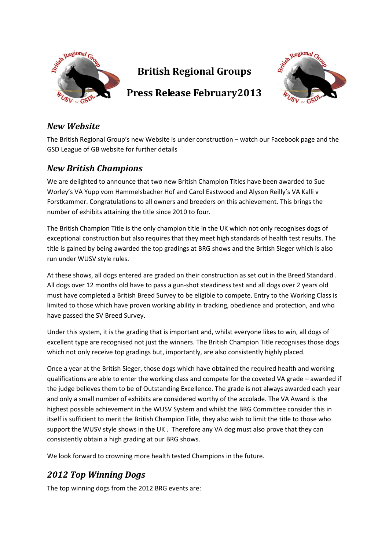

# **British Regional Groups**



# **Press Release February2013**

### *New Website*

The British Regional Group's new Website is under construction – watch our Facebook page and the GSD League of GB website for further details

## *New British Champions*

We are delighted to announce that two new British Champion Titles have been awarded to Sue Worley's VA Yupp vom Hammelsbacher Hof and Carol Eastwood and Alyson Reilly's VA Kalli v Forstkammer. Congratulations to all owners and breeders on this achievement. This brings the number of exhibits attaining the title since 2010 to four.

The British Champion Title is the only champion title in the UK which not only recognises dogs of exceptional construction but also requires that they meet high standards of health test results. The title is gained by being awarded the top gradings at BRG shows and the British Sieger which is also run under WUSV style rules.

At these shows, all dogs entered are graded on their construction as set out in the Breed Standard . All dogs over 12 months old have to pass a gun-shot steadiness test and all dogs over 2 years old must have completed a British Breed Survey to be eligible to compete. Entry to the Working Class is limited to those which have proven working ability in tracking, obedience and protection, and who have passed the SV Breed Survey.

Under this system, it is the grading that is important and, whilst everyone likes to win, all dogs of excellent type are recognised not just the winners. The British Champion Title recognises those dogs which not only receive top gradings but, importantly, are also consistently highly placed.

Once a year at the British Sieger, those dogs which have obtained the required health and working qualifications are able to enter the working class and compete for the coveted VA grade – awarded if the judge believes them to be of Outstanding Excellence. The grade is not always awarded each year and only a small number of exhibits are considered worthy of the accolade. The VA Award is the highest possible achievement in the WUSV System and whilst the BRG Committee consider this in itself is sufficient to merit the British Champion Title, they also wish to limit the title to those who support the WUSV style shows in the UK . Therefore any VA dog must also prove that they can consistently obtain a high grading at our BRG shows.

We look forward to crowning more health tested Champions in the future.

## *2012 Top Winning Dogs*

The top winning dogs from the 2012 BRG events are: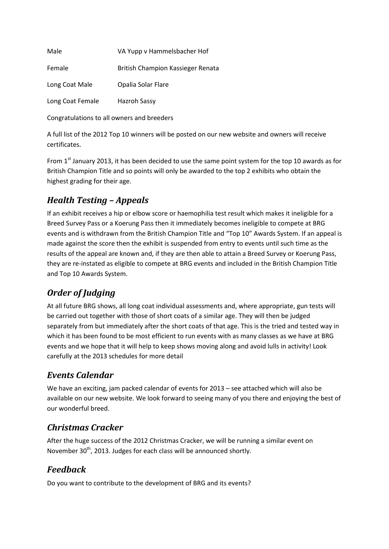| Male             | VA Yupp v Hammelsbacher Hof       |
|------------------|-----------------------------------|
| Female           | British Champion Kassieger Renata |
| Long Coat Male   | Opalia Solar Flare                |
| Long Coat Female | Hazroh Sassy                      |

Congratulations to all owners and breeders

A full list of the 2012 Top 10 winners will be posted on our new website and owners will receive certificates.

From 1<sup>st</sup> January 2013, it has been decided to use the same point system for the top 10 awards as for British Champion Title and so points will only be awarded to the top 2 exhibits who obtain the highest grading for their age.

## *Health Testing – Appeals*

If an exhibit receives a hip or elbow score or haemophilia test result which makes it ineligible for a Breed Survey Pass or a Koerung Pass then it immediately becomes ineligible to compete at BRG events and is withdrawn from the British Champion Title and "Top 10" Awards System. If an appeal is made against the score then the exhibit is suspended from entry to events until such time as the results of the appeal are known and, if they are then able to attain a Breed Survey or Koerung Pass, they are re-instated as eligible to compete at BRG events and included in the British Champion Title and Top 10 Awards System.

## *Order of Judging*

At all future BRG shows, all long coat individual assessments and, where appropriate, gun tests will be carried out together with those of short coats of a similar age. They will then be judged separately from but immediately after the short coats of that age. This is the tried and tested way in which it has been found to be most efficient to run events with as many classes as we have at BRG events and we hope that it will help to keep shows moving along and avoid lulls in activity! Look carefully at the 2013 schedules for more detail

### *Events Calendar*

We have an exciting, jam packed calendar of events for 2013 – see attached which will also be available on our new website. We look forward to seeing many of you there and enjoying the best of our wonderful breed.

### *Christmas Cracker*

After the huge success of the 2012 Christmas Cracker, we will be running a similar event on November 30<sup>th</sup>, 2013. Judges for each class will be announced shortly.

### *Feedback*

Do you want to contribute to the development of BRG and its events?